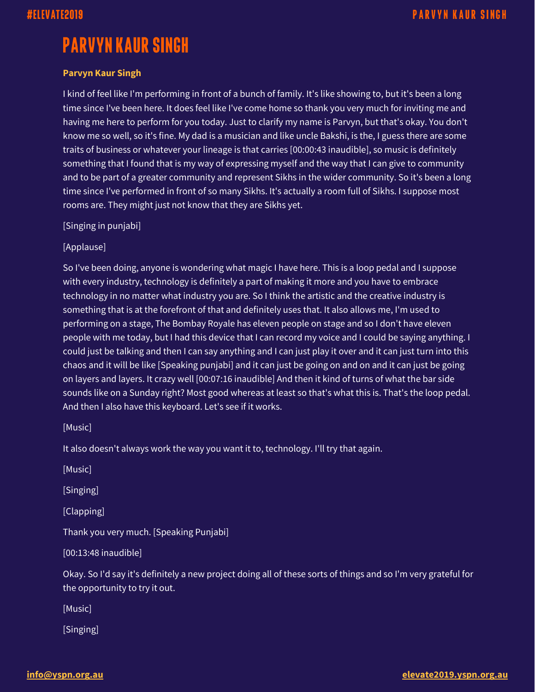## **PARVYN KAUR SINGH**

## **Parvyn Kaur Singh**

I kind of feel like I'm performing in front of a bunch of family. It's like showing to, but it's been a long time since I've been here. It does feel like I've come home so thank you very much for inviting me and having me here to perform for you today. Just to clarify my name is Parvyn, but that's okay. You don't know me so well, so it's fine. My dad is a musician and like uncle Bakshi, is the, I guess there are some traits of business or whatever your lineage is that carries [00:00:43 inaudible], so music is definitely something that I found that is my way of expressing myself and the way that I can give to community and to be part of a greater community and represent Sikhs in the wider community. So it's been a long time since I've performed in front of so many Sikhs. It's actually a room full of Sikhs. I suppose most rooms are. They might just not know that they are Sikhs yet.

[Singing in punjabi]

[Applause]

So I've been doing, anyone is wondering what magic I have here. This is a loop pedal and I suppose with every industry, technology is definitely a part of making it more and you have to embrace technology in no matter what industry you are. So I think the artistic and the creative industry is something that is at the forefront of that and definitely uses that. It also allows me, I'm used to performing on a stage, The Bombay Royale has eleven people on stage and so I don't have eleven people with me today, but I had this device that I can record my voice and I could be saying anything. I could just be talking and then I can say anything and I can just play it over and it can just turn into this chaos and it will be like [Speaking punjabi] and it can just be going on and on and it can just be going on layers and layers. It crazy well [00:07:16 inaudible] And then it kind of turns of what the bar side sounds like on a Sunday right? Most good whereas at least so that's what this is. That's the loop pedal. And then I also have this keyboard. Let's see if it works.

[Music]

It also doesn't always work the way you want it to, technology. I'll try that again.

[Music]

[Singing]

[Clapping]

Thank you very much. [Speaking Punjabi]

[00:13:48 inaudible]

Okay. So I'd say it's definitely a new project doing all of these sorts of things and so I'm very grateful for the opportunity to try it out.

[Music]

[Singing]